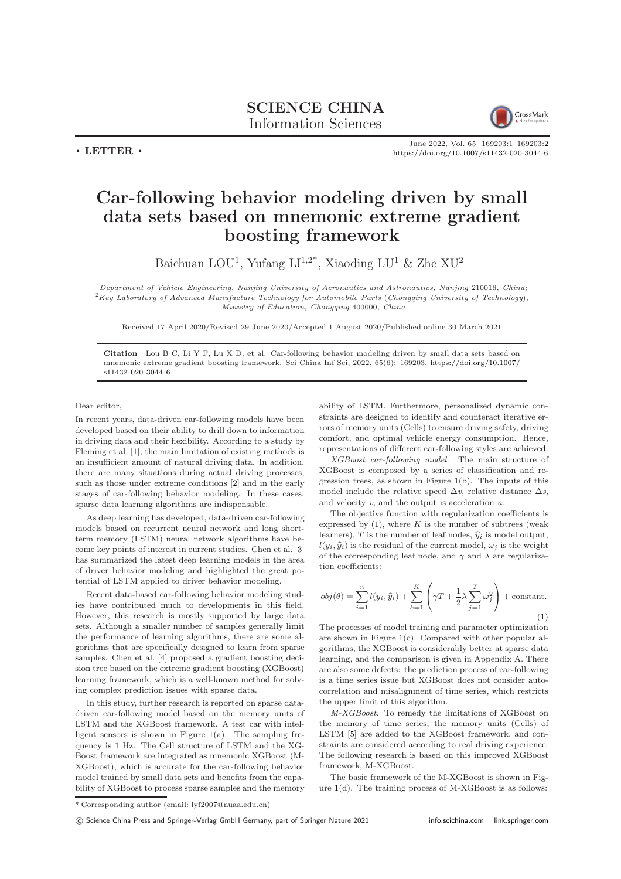## SCIENCE CHINA Information Sciences



June 2022, Vol. 65 169203:1–169203[:2](#page-1-0) <https://doi.org/10.1007/s11432-020-3044-6>

## Car-following behavior modeling driven by small data sets based on mnemonic extreme gradient boosting framework

Baichuan LOU<sup>1</sup>, Yufang LI<sup>1,2\*</sup>, Xiaoding LU<sup>1</sup> & Zhe XU<sup>2</sup>

<sup>1</sup>Department of Vehicle Engineering, Nanjing University of Aeronautics and Astronautics, Nanjing 210016, China;  ${}^{2}$ Key Laboratory of Advanced Manufacture Technology for Automobile Parts (Chongqing University of Technology), Ministry of Education, Chongqing 400000, China

Received 17 April 2020/Revised 29 June 2020/Accepted 1 August 2020/Published online 30 March 2021

Citation Lou B C, Li Y F, Lu X D, et al. Car-following behavior modeling driven by small data sets based on mnemonic extreme gradient boosting framework. Sci China Inf Sci, 2022, 65(6): 169203, [https://doi.org/10.1007/](https://doi.org/10.1007/s11432-020-3044-6) [s11432-020-3044-6](https://doi.org/10.1007/s11432-020-3044-6)

Dear editor,

 $\cdot$  LETTER  $\cdot$ 

In recent years, data-driven car-following models have been developed based on their ability to drill down to information in driving data and their flexibility. According to a study by Fleming et al. [\[1\]](#page-1-1), the main limitation of existing methods is an insufficient amount of natural driving data. In addition, there are many situations during actual driving processes, such as those under extreme conditions [\[2\]](#page-1-2) and in the early stages of car-following behavior modeling. In these cases, sparse data learning algorithms are indispensable.

As deep learning has developed, data-driven car-following models based on recurrent neural network and long shortterm memory (LSTM) neural network algorithms have become key points of interest in current studies. Chen et al. [\[3\]](#page-1-3) has summarized the latest deep learning models in the area of driver behavior modeling and highlighted the great potential of LSTM applied to driver behavior modeling.

Recent data-based car-following behavior modeling studies have contributed much to developments in this field. However, this research is mostly supported by large data sets. Although a smaller number of samples generally limit the performance of learning algorithms, there are some algorithms that are specifically designed to learn from sparse samples. Chen et al. [\[4\]](#page-1-4) proposed a gradient boosting decision tree based on the extreme gradient boosting (XGBoost) learning framework, which is a well-known method for solving complex prediction issues with sparse data.

In this study, further research is reported on sparse datadriven car-following model based on the memory units of LSTM and the XGBoost framework. A test car with intelligent sensors is shown in Figure  $1(a)$  $1(a)$ . The sampling frequency is 1 Hz. The Cell structure of LSTM and the XG-Boost framework are integrated as mnemonic XGBoost (M-XGBoost), which is accurate for the car-following behavior model trained by small data sets and benefits from the capability of XGBoost to process sparse samples and the memory

ability of LSTM. Furthermore, personalized dynamic constraints are designed to identify and counteract iterative errors of memory units (Cells) to ensure driving safety, driving comfort, and optimal vehicle energy consumption. Hence, representations of different car-following styles are achieved.

XGBoost car-following model. The main structure of XGBoost is composed by a series of classification and regression trees, as shown in Figure [1\(](#page-1-5)b). The inputs of this model include the relative speed  $\Delta v$ , relative distance  $\Delta s$ , and velocity v, and the output is acceleration a.

The objective function with regularization coefficients is expressed by  $(1)$ , where K is the number of subtrees (weak learners), T is the number of leaf nodes,  $\hat{y}_i$  is model output,  $l(y_i, \hat{y}_i)$  is the residual of the current model,  $\omega_i$  is the weight of the corresponding leaf node, and  $\gamma$  and  $\lambda$  are regularization coefficients:

<span id="page-0-0"></span>
$$
obj(\theta) = \sum_{i=1}^{n} l(y_i, \hat{y}_i) + \sum_{k=1}^{K} \left( \gamma T + \frac{1}{2} \lambda \sum_{j=1}^{T} \omega_j^2 \right) + \text{constant.}
$$
\n(1)

The processes of model training and parameter optimization are shown in Figure [1\(](#page-1-5)c). Compared with other popular algorithms, the XGBoost is considerably better at sparse data learning, and the comparison is given in Appendix A. There are also some defects: the prediction process of car-following is a time series issue but XGBoost does not consider autocorrelation and misalignment of time series, which restricts the upper limit of this algorithm.

M-XGBoost. To remedy the limitations of XGBoost on the memory of time series, the memory units (Cells) of LSTM [\[5\]](#page-1-6) are added to the XGBoost framework, and constraints are considered according to real driving experience. The following research is based on this improved XGBoost framework, M-XGBoost.

The basic framework of the M-XGBoost is shown in Figure  $1(d)$  $1(d)$ . The training process of M-XGBoost is as follows:

<sup>\*</sup> Corresponding author (email: lyf2007@nuaa.edu.cn)

c Science China Press and Springer-Verlag GmbH Germany, part of Springer Nature 2021 <info.scichina.com><link.springer.com>